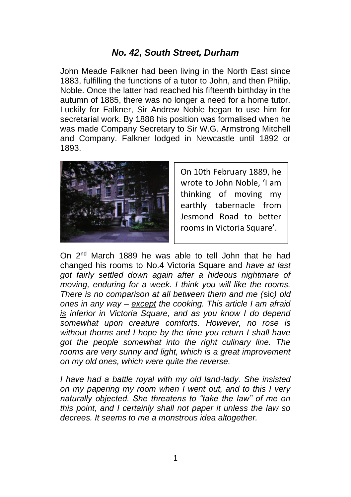## *No. 42, South Street, Durham*

John Meade Falkner had been living in the North East since 1883, fulfilling the functions of a tutor to John, and then Philip, Noble. Once the latter had reached his fifteenth birthday in the autumn of 1885, there was no longer a need for a home tutor. Luckily for Falkner, Sir Andrew Noble began to use him for secretarial work. By 1888 his position was formalised when he was made Company Secretary to Sir W.G. Armstrong Mitchell and Company. Falkner lodged in Newcastle until 1892 or 1893.



On 10th February 1889, he wrote to John Noble, 'I am thinking of moving my earthly tabernacle from Jesmond Road to better rooms in Victoria Square'.

On 2nd March 1889 he was able to tell John that he had changed his rooms to No.4 Victoria Square and *have at last got fairly settled down again after a hideous nightmare of moving, enduring for a week. I think you will like the rooms. There is no comparison at all between them and me (*sic*) old ones in any way – except the cooking. This article I am afraid is inferior in Victoria Square, and as you know I do depend somewhat upon creature comforts. However, no rose is without thorns and I hope by the time you return I shall have got the people somewhat into the right culinary line. The rooms are very sunny and light, which is a great improvement on my old ones, which were quite the reverse.*

*I have had a battle royal with my old land-lady. She insisted on my papering my room when I went out, and to this I very naturally objected. She threatens to "take the law" of me on this point, and I certainly shall not paper it unless the law so decrees. It seems to me a monstrous idea altogether.*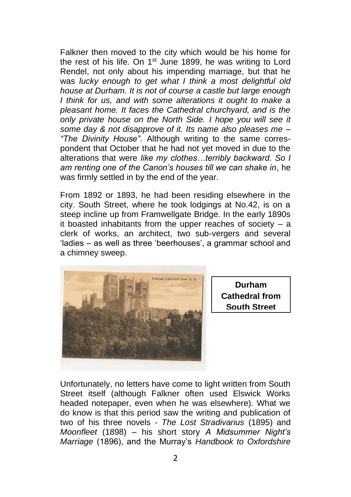Falkner then moved to the city which would be his home for the rest of his life. On 1<sup>st</sup> June 1899, he was writing to Lord Rendel, not only about his impending marriage, but that he was *lucky enough to get what I think a most delightful old house at Durham. It is not of course a castle but large enough I think for us, and with some alterations it ought to make a pleasant home. It faces the Cathedral churchyard, and is the only private house on the North Side. I hope you will see it some day & not disapprove of it. Its name also pleases me – "The Divinity House"*. Although writing to the same correspondent that October that he had not yet moved in due to the alterations that were *like my clothes…terribly backward. So I am renting one of the Canon's houses till we can shake in*, he was firmly settled in by the end of the year.

From 1892 or 1893, he had been residing elsewhere in the city. South Street, where he took lodgings at No.42, is on a steep incline up from Framwellgate Bridge. In the early 1890s it boasted inhabitants from the upper reaches of society – a clerk of works, an architect, two sub-vergers and several 'ladies – as well as three 'beerhouses', a grammar school and a chimney sweep.



**Durham Cathedral from South Street**

Unfortunately, no letters have come to light written from South Street itself (although Falkner often used Elswick Works headed notepaper, even when he was elsewhere). What we do know is that this period saw the writing and publication of two of his three novels - *The Lost Stradivarius* (1895) and *Moonfleet* (1898) – his short story *A Midsummer Night's Marriage* (1896), and the Murray's *Handbook to Oxfordshire*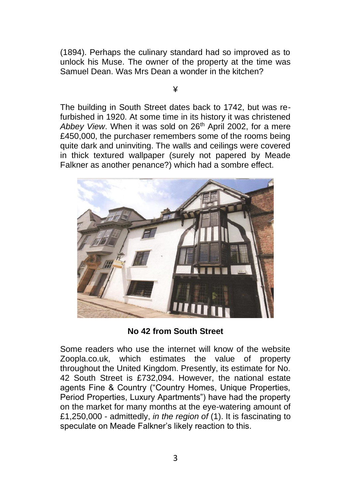(1894). Perhaps the culinary standard had so improved as to unlock his Muse. The owner of the property at the time was Samuel Dean. Was Mrs Dean a wonder in the kitchen?

¥

The building in South Street dates back to 1742, but was refurbished in 1920. At some time in its history it was christened Abbey View. When it was sold on 26<sup>th</sup> April 2002, for a mere £450,000, the purchaser remembers some of the rooms being quite dark and uninviting. The walls and ceilings were covered in thick textured wallpaper (surely not papered by Meade Falkner as another penance?) which had a sombre effect.



**No 42 from South Street**

Some readers who use the internet will know of the website Zoopla.co.uk, which estimates the value of property throughout the United Kingdom. Presently, its estimate for No. 42 South Street is £732,094. However, the national estate agents Fine & Country ("Country Homes, Unique Properties, Period Properties, Luxury Apartments") have had the property on the market for many months at the eye-watering amount of £1,250,000 - admittedly, *in the region of* (1). It is fascinating to speculate on Meade Falkner's likely reaction to this.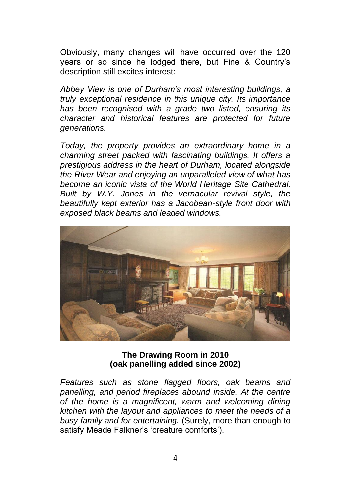Obviously, many changes will have occurred over the 120 years or so since he lodged there, but Fine & Country's description still excites interest:

*Abbey View is one of Durham's most interesting buildings, a truly exceptional residence in this unique city. Its importance has been recognised with a grade two listed, ensuring its character and historical features are protected for future generations.* 

*Today, the property provides an extraordinary home in a charming street packed with fascinating buildings. It offers a prestigious address in the heart of Durham, located alongside the River Wear and enjoying an unparalleled view of what has become an iconic vista of the World Heritage Site Cathedral. Built by W.Y. Jones in the vernacular revival style, the beautifully kept exterior has a Jacobean-style front door with exposed black beams and leaded windows.* 



**The Drawing Room in 2010 (oak panelling added since 2002)**

*Features such as stone flagged floors, oak beams and panelling, and period fireplaces abound inside. At the centre of the home is a magnificent, warm and welcoming dining kitchen with the layout and appliances to meet the needs of a busy family and for entertaining.* (Surely, more than enough to satisfy Meade Falkner's 'creature comforts').